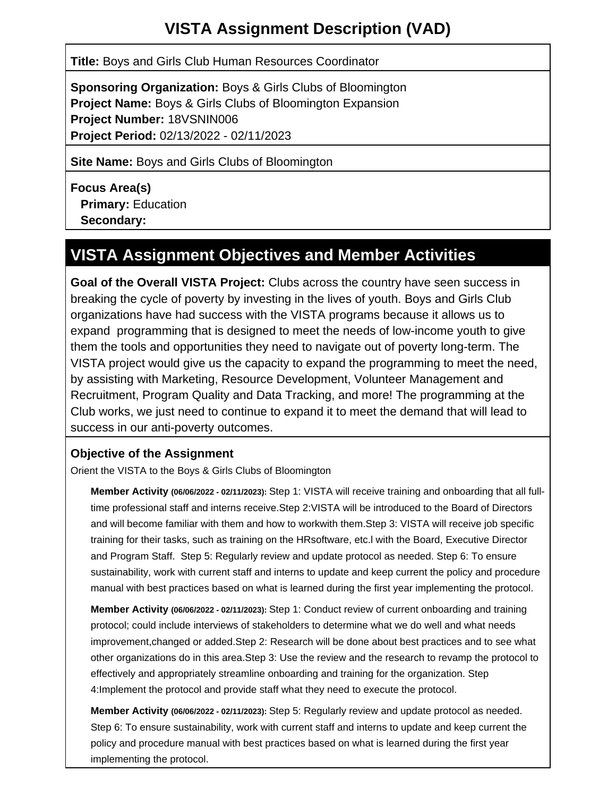# **VISTA Assignment Description (VAD)**

**Title:** Boys and Girls Club Human Resources Coordinator

**Sponsoring Organization:** Boys & Girls Clubs of Bloomington **Project Name:** Boys & Girls Clubs of Bloomington Expansion **Project Number:** 18VSNIN006 **Project Period:** 02/13/2022 - 02/11/2023

**Site Name:** Boys and Girls Clubs of Bloomington

**Focus Area(s) Primary:** Education  **Secondary:**

## **VISTA Assignment Objectives and Member Activities**

**Goal of the Overall VISTA Project:** Clubs across the country have seen success in breaking the cycle of poverty by investing in the lives of youth. Boys and Girls Club organizations have had success with the VISTA programs because it allows us to expand programming that is designed to meet the needs of low-income youth to give them the tools and opportunities they need to navigate out of poverty long-term. The VISTA project would give us the capacity to expand the programming to meet the need, by assisting with Marketing, Resource Development, Volunteer Management and Recruitment, Program Quality and Data Tracking, and more! The programming at the Club works, we just need to continue to expand it to meet the demand that will lead to success in our anti-poverty outcomes.

#### **Objective of the Assignment**

Orient the VISTA to the Boys & Girls Clubs of Bloomington

**Member Activity (06/06/2022 - 02/11/2023):** Step 1: VISTA will receive training and onboarding that all fulltime professional staff and interns receive.Step 2:VISTA will be introduced to the Board of Directors and will become familiar with them and how to workwith them.Step 3: VISTA will receive job specific training for their tasks, such as training on the HRsoftware, etc.l with the Board, Executive Director and Program Staff. Step 5: Regularly review and update protocol as needed. Step 6: To ensure sustainability, work with current staff and interns to update and keep current the policy and procedure manual with best practices based on what is learned during the first year implementing the protocol.

**Member Activity (06/06/2022 - 02/11/2023):** Step 1: Conduct review of current onboarding and training protocol; could include interviews of stakeholders to determine what we do well and what needs improvement,changed or added.Step 2: Research will be done about best practices and to see what other organizations do in this area.Step 3: Use the review and the research to revamp the protocol to effectively and appropriately streamline onboarding and training for the organization. Step 4:Implement the protocol and provide staff what they need to execute the protocol.

**Member Activity (06/06/2022 - 02/11/2023):** Step 5: Regularly review and update protocol as needed. Step 6: To ensure sustainability, work with current staff and interns to update and keep current the policy and procedure manual with best practices based on what is learned during the first year implementing the protocol.